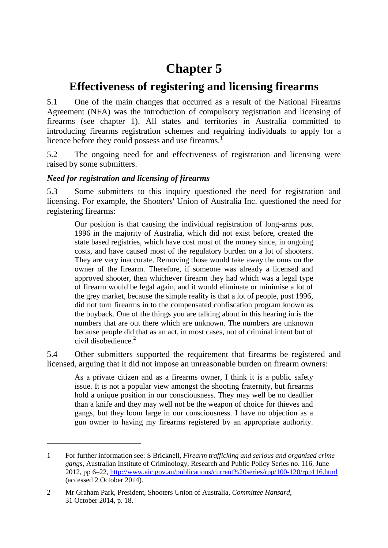# **Chapter 5**

# **Effectiveness of registering and licensing firearms**

5.1 One of the main changes that occurred as a result of the National Firearms Agreement (NFA) was the introduction of compulsory registration and licensing of firearms (see chapter 1). All states and territories in Australia committed to introducing firearms registration schemes and requiring individuals to apply for a licence before they could possess and use firearms.<sup>1</sup>

5.2 The ongoing need for and effectiveness of registration and licensing were raised by some submitters.

# *Need for registration and licensing of firearms*

5.3 Some submitters to this inquiry questioned the need for registration and licensing. For example, the Shooters' Union of Australia Inc. questioned the need for registering firearms:

Our position is that causing the individual registration of long-arms post 1996 in the majority of Australia, which did not exist before, created the state based registries, which have cost most of the money since, in ongoing costs, and have caused most of the regulatory burden on a lot of shooters. They are very inaccurate. Removing those would take away the onus on the owner of the firearm. Therefore, if someone was already a licensed and approved shooter, then whichever firearm they had which was a legal type of firearm would be legal again, and it would eliminate or minimise a lot of the grey market, because the simple reality is that a lot of people, post 1996, did not turn firearms in to the compensated confiscation program known as the buyback. One of the things you are talking about in this hearing in is the numbers that are out there which are unknown. The numbers are unknown because people did that as an act, in most cases, not of criminal intent but of civil disobedience. $2$ 

5.4 Other submitters supported the requirement that firearms be registered and licensed, arguing that it did not impose an unreasonable burden on firearm owners:

As a private citizen and as a firearms owner, I think it is a public safety issue. It is not a popular view amongst the shooting fraternity, but firearms hold a unique position in our consciousness. They may well be no deadlier than a knife and they may well not be the weapon of choice for thieves and gangs, but they loom large in our consciousness. I have no objection as a gun owner to having my firearms registered by an appropriate authority.

<sup>1</sup> For further information see: S Bricknell, *Firearm trafficking and serious and organised crime gangs*, Australian Institute of Criminology, Research and Public Policy Series no. 116, June 2012, pp 6–22,<http://www.aic.gov.au/publications/current%20series/rpp/100-120/rpp116.html> (accessed 2 October 2014).

<sup>2</sup> Mr Graham Park, President, Shooters Union of Australia, *Committee Hansard*, 31 October 2014, p. 18.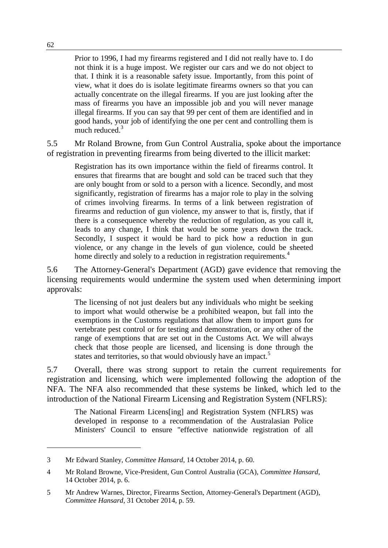Prior to 1996, I had my firearms registered and I did not really have to. I do not think it is a huge impost. We register our cars and we do not object to that. I think it is a reasonable safety issue. Importantly, from this point of view, what it does do is isolate legitimate firearms owners so that you can actually concentrate on the illegal firearms. If you are just looking after the mass of firearms you have an impossible job and you will never manage illegal firearms. If you can say that 99 per cent of them are identified and in good hands, your job of identifying the one per cent and controlling them is much reduced.<sup>3</sup>

5.5 Mr Roland Browne, from Gun Control Australia, spoke about the importance of registration in preventing firearms from being diverted to the illicit market:

Registration has its own importance within the field of firearms control. It ensures that firearms that are bought and sold can be traced such that they are only bought from or sold to a person with a licence. Secondly, and most significantly, registration of firearms has a major role to play in the solving of crimes involving firearms. In terms of a link between registration of firearms and reduction of gun violence, my answer to that is, firstly, that if there is a consequence whereby the reduction of regulation, as you call it, leads to any change, I think that would be some years down the track. Secondly, I suspect it would be hard to pick how a reduction in gun violence, or any change in the levels of gun violence, could be sheeted home directly and solely to a reduction in registration requirements.<sup>4</sup>

5.6 The Attorney-General's Department (AGD) gave evidence that removing the licensing requirements would undermine the system used when determining import approvals:

The licensing of not just dealers but any individuals who might be seeking to import what would otherwise be a prohibited weapon, but fall into the exemptions in the Customs regulations that allow them to import guns for vertebrate pest control or for testing and demonstration, or any other of the range of exemptions that are set out in the Customs Act. We will always check that those people are licensed, and licensing is done through the states and territories, so that would obviously have an impact.<sup>5</sup>

5.7 Overall, there was strong support to retain the current requirements for registration and licensing, which were implemented following the adoption of the NFA. The NFA also recommended that these systems be linked, which led to the introduction of the National Firearm Licensing and Registration System (NFLRS):

The National Firearm Licens[ing] and Registration System (NFLRS) was developed in response to a recommendation of the Australasian Police Ministers' Council to ensure "effective nationwide registration of all

<sup>3</sup> Mr Edward Stanley, *Committee Hansard*, 14 October 2014, p. 60.

<sup>4</sup> Mr Roland Browne, Vice-President, Gun Control Australia (GCA), *Committee Hansard*, 14 October 2014, p. 6.

<sup>5</sup> Mr Andrew Warnes, Director, Firearms Section, Attorney-General's Department (AGD), *Committee Hansard*, 31 October 2014, p. 59.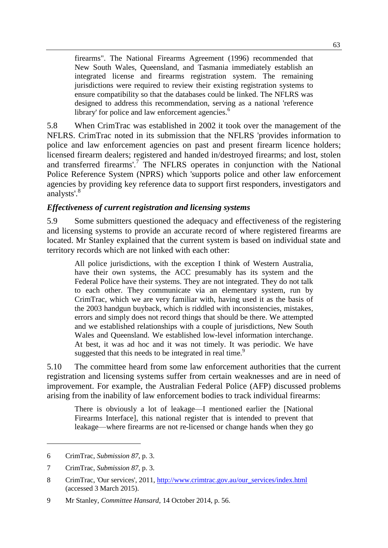firearms". The National Firearms Agreement (1996) recommended that New South Wales, Queensland, and Tasmania immediately establish an integrated license and firearms registration system. The remaining jurisdictions were required to review their existing registration systems to ensure compatibility so that the databases could be linked. The NFLRS was designed to address this recommendation, serving as a national 'reference library' for police and law enforcement agencies. $<sup>6</sup>$ </sup>

5.8 When CrimTrac was established in 2002 it took over the management of the NFLRS. CrimTrac noted in its submission that the NFLRS 'provides information to police and law enforcement agencies on past and present firearm licence holders; licensed firearm dealers; registered and handed in/destroyed firearms; and lost, stolen and transferred firearms'.<sup>7</sup> The NFLRS operates in conjunction with the National Police Reference System (NPRS) which 'supports police and other law enforcement agencies by providing key reference data to support first responders, investigators and analysts'.<sup>8</sup>

### *Effectiveness of current registration and licensing systems*

5.9 Some submitters questioned the adequacy and effectiveness of the registering and licensing systems to provide an accurate record of where registered firearms are located. Mr Stanley explained that the current system is based on individual state and territory records which are not linked with each other:

All police jurisdictions, with the exception I think of Western Australia, have their own systems, the ACC presumably has its system and the Federal Police have their systems. They are not integrated. They do not talk to each other. They communicate via an elementary system, run by CrimTrac, which we are very familiar with, having used it as the basis of the 2003 handgun buyback, which is riddled with inconsistencies, mistakes, errors and simply does not record things that should be there. We attempted and we established relationships with a couple of jurisdictions, New South Wales and Queensland. We established low-level information interchange. At best, it was ad hoc and it was not timely. It was periodic. We have suggested that this needs to be integrated in real time.<sup>9</sup>

5.10 The committee heard from some law enforcement authorities that the current registration and licensing systems suffer from certain weaknesses and are in need of improvement. For example, the Australian Federal Police (AFP) discussed problems arising from the inability of law enforcement bodies to track individual firearms:

There is obviously a lot of leakage—I mentioned earlier the [National Firearms Interface], this national register that is intended to prevent that leakage—where firearms are not re-licensed or change hands when they go

<sup>6</sup> CrimTrac, *Submission 87*, p. 3.

<sup>7</sup> CrimTrac, *Submission 87*, p. 3.

<sup>8</sup> CrimTrac, 'Our services', 2011, [http://www.crimtrac.gov.au/our\\_services/index.html](http://www.crimtrac.gov.au/our_services/index.html) (accessed 3 March 2015).

<sup>9</sup> Mr Stanley, *Committee Hansard*, 14 October 2014, p. 56.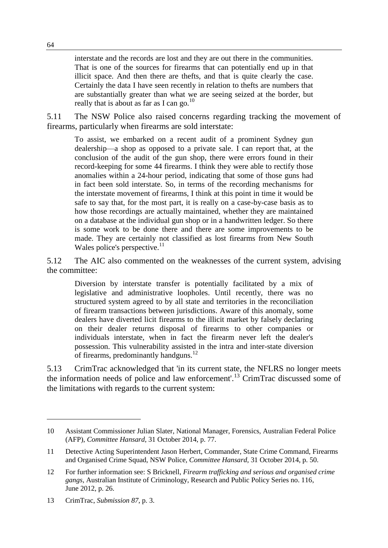interstate and the records are lost and they are out there in the communities. That is one of the sources for firearms that can potentially end up in that illicit space. And then there are thefts, and that is quite clearly the case. Certainly the data I have seen recently in relation to thefts are numbers that are substantially greater than what we are seeing seized at the border, but really that is about as far as I can go. $^{10}$ 

5.11 The NSW Police also raised concerns regarding tracking the movement of firearms, particularly when firearms are sold interstate:

To assist, we embarked on a recent audit of a prominent Sydney gun dealership—a shop as opposed to a private sale. I can report that, at the conclusion of the audit of the gun shop, there were errors found in their record-keeping for some 44 firearms. I think they were able to rectify those anomalies within a 24-hour period, indicating that some of those guns had in fact been sold interstate. So, in terms of the recording mechanisms for the interstate movement of firearms, I think at this point in time it would be safe to say that, for the most part, it is really on a case-by-case basis as to how those recordings are actually maintained, whether they are maintained on a database at the individual gun shop or in a handwritten ledger. So there is some work to be done there and there are some improvements to be made. They are certainly not classified as lost firearms from New South Wales police's perspective. $^{11}$ 

5.12 The AIC also commented on the weaknesses of the current system, advising the committee:

Diversion by interstate transfer is potentially facilitated by a mix of legislative and administrative loopholes. Until recently, there was no structured system agreed to by all state and territories in the reconciliation of firearm transactions between jurisdictions. Aware of this anomaly, some dealers have diverted licit firearms to the illicit market by falsely declaring on their dealer returns disposal of firearms to other companies or individuals interstate, when in fact the firearm never left the dealer's possession. This vulnerability assisted in the intra and inter-state diversion of firearms, predominantly handguns.<sup>12</sup>

5.13 CrimTrac acknowledged that 'in its current state, the NFLRS no longer meets the information needs of police and law enforcement'.<sup>13</sup> CrimTrac discussed some of the limitations with regards to the current system:

<sup>10</sup> Assistant Commissioner Julian Slater, National Manager, Forensics, Australian Federal Police (AFP), *Committee Hansard*, 31 October 2014, p. 77.

<sup>11</sup> Detective Acting Superintendent Jason Herbert, Commander, State Crime Command, Firearms and Organised Crime Squad, NSW Police, *Committee Hansard*, 31 October 2014, p. 50.

<sup>12</sup> For further information see: S Bricknell, *Firearm trafficking and serious and organised crime gangs*, Australian Institute of Criminology, Research and Public Policy Series no. 116, June 2012, p. 26.

<sup>13</sup> CrimTrac, *Submission 87*, p. 3.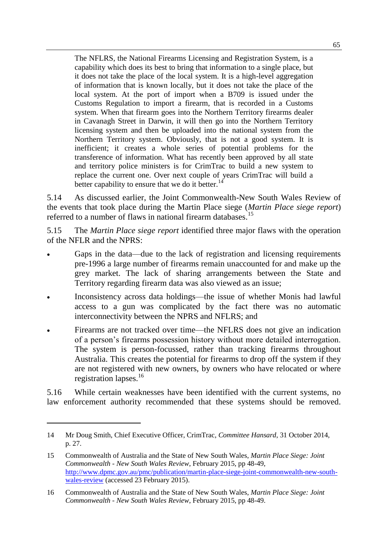The NFLRS, the National Firearms Licensing and Registration System, is a capability which does its best to bring that information to a single place, but it does not take the place of the local system. It is a high-level aggregation of information that is known locally, but it does not take the place of the local system. At the port of import when a B709 is issued under the Customs Regulation to import a firearm, that is recorded in a Customs system. When that firearm goes into the Northern Territory firearms dealer in Cavanagh Street in Darwin, it will then go into the Northern Territory licensing system and then be uploaded into the national system from the Northern Territory system. Obviously, that is not a good system. It is inefficient; it creates a whole series of potential problems for the transference of information. What has recently been approved by all state and territory police ministers is for CrimTrac to build a new system to replace the current one. Over next couple of years CrimTrac will build a better capability to ensure that we do it better.<sup>14</sup>

5.14 As discussed earlier, the Joint Commonwealth-New South Wales Review of the events that took place during the Martin Place siege (*Martin Place siege report*) referred to a number of flaws in national firearm databases.<sup>15</sup>

5.15 The *Martin Place siege report* identified three major flaws with the operation of the NFLR and the NPRS:

- Gaps in the data—due to the lack of registration and licensing requirements pre-1996 a large number of firearms remain unaccounted for and make up the grey market. The lack of sharing arrangements between the State and Territory regarding firearm data was also viewed as an issue;
- Inconsistency across data holdings—the issue of whether Monis had lawful access to a gun was complicated by the fact there was no automatic interconnectivity between the NPRS and NFLRS; and
- Firearms are not tracked over time—the NFLRS does not give an indication of a person's firearms possession history without more detailed interrogation. The system is person-focussed, rather than tracking firearms throughout Australia. This creates the potential for firearms to drop off the system if they are not registered with new owners, by owners who have relocated or where registration lapses. $16$

5.16 While certain weaknesses have been identified with the current systems, no law enforcement authority recommended that these systems should be removed.

<sup>14</sup> Mr Doug Smith, Chief Executive Officer, CrimTrac, *Committee Hansard*, 31 October 2014, p. 27.

<sup>15</sup> Commonwealth of Australia and the State of New South Wales, *Martin Place Siege: Joint Commonwealth - New South Wales Review*, February 2015, pp 48-49, [http://www.dpmc.gov.au/pmc/publication/martin-place-siege-joint-commonwealth-new-south](http://www.dpmc.gov.au/pmc/publication/martin-place-siege-joint-commonwealth-new-south-wales-review)[wales-review](http://www.dpmc.gov.au/pmc/publication/martin-place-siege-joint-commonwealth-new-south-wales-review) (accessed 23 February 2015).

<sup>16</sup> Commonwealth of Australia and the State of New South Wales, *Martin Place Siege: Joint Commonwealth - New South Wales Review*, February 2015, pp 48-49.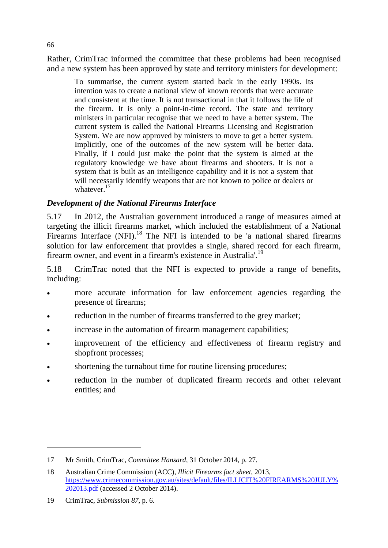Rather, CrimTrac informed the committee that these problems had been recognised and a new system has been approved by state and territory ministers for development:

To summarise, the current system started back in the early 1990s. Its intention was to create a national view of known records that were accurate and consistent at the time. It is not transactional in that it follows the life of the firearm. It is only a point-in-time record. The state and territory ministers in particular recognise that we need to have a better system. The current system is called the National Firearms Licensing and Registration System. We are now approved by ministers to move to get a better system. Implicitly, one of the outcomes of the new system will be better data. Finally, if I could just make the point that the system is aimed at the regulatory knowledge we have about firearms and shooters. It is not a system that is built as an intelligence capability and it is not a system that will necessarily identify weapons that are not known to police or dealers or whatever.<sup>17</sup>

## *Development of the National Firearms Interface*

5.17 In 2012, the Australian government introduced a range of measures aimed at targeting the illicit firearms market, which included the establishment of a National Firearms Interface  $(NFI)$ <sup>18</sup>. The NFI is intended to be 'a national shared firearms solution for law enforcement that provides a single, shared record for each firearm, firearm owner, and event in a firearm's existence in Australia'.<sup>19</sup>

5.18 CrimTrac noted that the NFI is expected to provide a range of benefits, including:

- more accurate information for law enforcement agencies regarding the presence of firearms;
- reduction in the number of firearms transferred to the grey market;
- increase in the automation of firearm management capabilities;
- improvement of the efficiency and effectiveness of firearm registry and shopfront processes;
- shortening the turnabout time for routine licensing procedures;
- reduction in the number of duplicated firearm records and other relevant entities; and

<sup>17</sup> Mr Smith, CrimTrac, *Committee Hansard*, 31 October 2014, p. 27.

<sup>18</sup> Australian Crime Commission (ACC), *Illicit Firearms fact sheet*, 2013, [https://www.crimecommission.gov.au/sites/default/files/ILLICIT%20FIREARMS%20JULY%](https://www.crimecommission.gov.au/sites/default/files/ILLICIT%20FIREARMS%20JULY%202013.pdf) [202013.pdf](https://www.crimecommission.gov.au/sites/default/files/ILLICIT%20FIREARMS%20JULY%202013.pdf) (accessed 2 October 2014).

<sup>19</sup> CrimTrac, *Submission 87*, p. 6.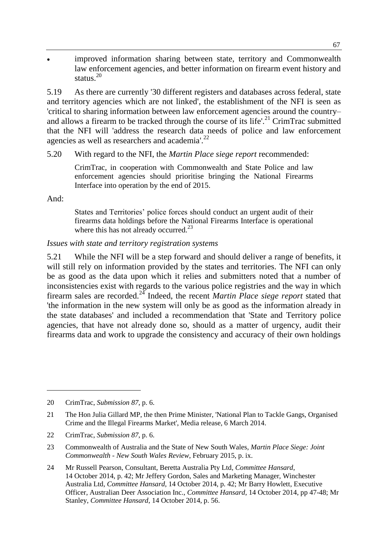improved information sharing between state, territory and Commonwealth law enforcement agencies, and better information on firearm event history and status.<sup>20</sup>

5.19 As there are currently '30 different registers and databases across federal, state and territory agencies which are not linked', the establishment of the NFI is seen as 'critical to sharing information between law enforcement agencies around the country– and allows a firearm to be tracked through the course of its life'.<sup>21</sup> CrimTrac submitted that the NFI will 'address the research data needs of police and law enforcement agencies as well as researchers and academia'.<sup>22</sup>

#### 5.20 With regard to the NFI, the *Martin Place siege report* recommended:

CrimTrac, in cooperation with Commonwealth and State Police and law enforcement agencies should prioritise bringing the National Firearms Interface into operation by the end of 2015.

And:

 $\overline{a}$ 

States and Territories' police forces should conduct an urgent audit of their firearms data holdings before the National Firearms Interface is operational where this has not already occurred.<sup>23</sup>

#### *Issues with state and territory registration systems*

5.21 While the NFI will be a step forward and should deliver a range of benefits, it will still rely on information provided by the states and territories. The NFI can only be as good as the data upon which it relies and submitters noted that a number of inconsistencies exist with regards to the various police registries and the way in which firearm sales are recorded.<sup>24</sup> Indeed, the recent *Martin Place siege report* stated that 'the information in the new system will only be as good as the information already in the state databases' and included a recommendation that 'State and Territory police agencies, that have not already done so, should as a matter of urgency, audit their firearms data and work to upgrade the consistency and accuracy of their own holdings

20 CrimTrac, *Submission 87*, p. 6.

<sup>21</sup> The Hon Julia Gillard MP, the then Prime Minister, 'National Plan to Tackle Gangs, Organised Crime and the Illegal Firearms Market', Media release, 6 March 2014.

<sup>22</sup> CrimTrac, *Submission 87*, p. 6.

<sup>23</sup> Commonwealth of Australia and the State of New South Wales, *Martin Place Siege: Joint Commonwealth - New South Wales Review*, February 2015, p. ix.

<sup>24</sup> Mr Russell Pearson, Consultant, Beretta Australia Pty Ltd, *Committee Hansard*, 14 October 2014, p. 42; Mr Jeffery Gordon, Sales and Marketing Manager, Winchester Australia Ltd, *Committee Hansard*, 14 October 2014, p. 42; Mr Barry Howlett, Executive Officer, Australian Deer Association Inc., *Committee Hansard*, 14 October 2014, pp 47-48; Mr Stanley, *Committee Hansard*, 14 October 2014, p. 56.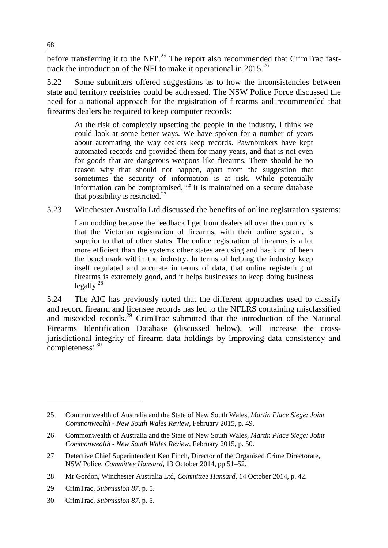before transferring it to the NFI'.<sup>25</sup> The report also recommended that CrimTrac fasttrack the introduction of the NFI to make it operational in 2015.<sup>26</sup>

5.22 Some submitters offered suggestions as to how the inconsistencies between state and territory registries could be addressed. The NSW Police Force discussed the need for a national approach for the registration of firearms and recommended that firearms dealers be required to keep computer records:

At the risk of completely upsetting the people in the industry, I think we could look at some better ways. We have spoken for a number of years about automating the way dealers keep records. Pawnbrokers have kept automated records and provided them for many years, and that is not even for goods that are dangerous weapons like firearms. There should be no reason why that should not happen, apart from the suggestion that sometimes the security of information is at risk. While potentially information can be compromised, if it is maintained on a secure database that possibility is restricted. $27$ 

5.23 Winchester Australia Ltd discussed the benefits of online registration systems:

I am nodding because the feedback I get from dealers all over the country is that the Victorian registration of firearms, with their online system, is superior to that of other states. The online registration of firearms is a lot more efficient than the systems other states are using and has kind of been the benchmark within the industry. In terms of helping the industry keep itself regulated and accurate in terms of data, that online registering of firearms is extremely good, and it helps businesses to keep doing business legally. $^{28}$ 

5.24 The AIC has previously noted that the different approaches used to classify and record firearm and licensee records has led to the NFLRS containing misclassified and miscoded records.<sup>29</sup> CrimTrac submitted that the introduction of the National Firearms Identification Database (discussed below), will increase the crossjurisdictional integrity of firearm data holdings by improving data consistency and completeness'.<sup>30</sup>

<sup>25</sup> Commonwealth of Australia and the State of New South Wales, *Martin Place Siege: Joint Commonwealth - New South Wales Review*, February 2015, p. 49.

<sup>26</sup> Commonwealth of Australia and the State of New South Wales, *Martin Place Siege: Joint Commonwealth - New South Wales Review*, February 2015, p. 50.

<sup>27</sup> Detective Chief Superintendent Ken Finch, Director of the Organised Crime Directorate, NSW Police, *Committee Hansard*, 13 October 2014, pp 51–52.

<sup>28</sup> Mr Gordon, Winchester Australia Ltd, *Committee Hansard*, 14 October 2014, p. 42.

<sup>29</sup> CrimTrac, *Submission 87*, p. 5.

<sup>30</sup> CrimTrac, *Submission 87*, p. 5.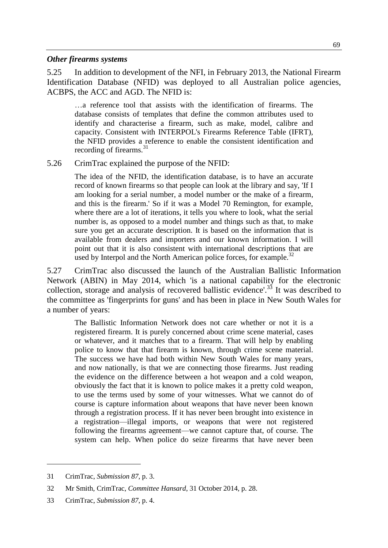#### *Other firearms systems*

5.25 In addition to development of the NFI, in February 2013, the National Firearm Identification Database (NFID) was deployed to all Australian police agencies, ACBPS, the ACC and AGD. The NFID is:

…a reference tool that assists with the identification of firearms. The database consists of templates that define the common attributes used to identify and characterise a firearm, such as make, model, calibre and capacity. Consistent with INTERPOL's Firearms Reference Table (IFRT), the NFID provides a reference to enable the consistent identification and recording of firearms.<sup>31</sup>

5.26 CrimTrac explained the purpose of the NFID:

The idea of the NFID, the identification database, is to have an accurate record of known firearms so that people can look at the library and say, 'If I am looking for a serial number, a model number or the make of a firearm, and this is the firearm.' So if it was a Model 70 Remington, for example, where there are a lot of iterations, it tells you where to look, what the serial number is, as opposed to a model number and things such as that, to make sure you get an accurate description. It is based on the information that is available from dealers and importers and our known information. I will point out that it is also consistent with international descriptions that are used by Interpol and the North American police forces, for example.<sup>32</sup>

5.27 CrimTrac also discussed the launch of the Australian Ballistic Information Network (ABIN) in May 2014, which 'is a national capability for the electronic collection, storage and analysis of recovered ballistic evidence'.<sup>35</sup> It was described to the committee as 'fingerprints for guns' and has been in place in New South Wales for a number of years:

The Ballistic Information Network does not care whether or not it is a registered firearm. It is purely concerned about crime scene material, cases or whatever, and it matches that to a firearm. That will help by enabling police to know that that firearm is known, through crime scene material. The success we have had both within New South Wales for many years, and now nationally, is that we are connecting those firearms. Just reading the evidence on the difference between a hot weapon and a cold weapon, obviously the fact that it is known to police makes it a pretty cold weapon, to use the terms used by some of your witnesses. What we cannot do of course is capture information about weapons that have never been known through a registration process. If it has never been brought into existence in a registration—illegal imports, or weapons that were not registered following the firearms agreement—we cannot capture that, of course. The system can help. When police do seize firearms that have never been

<sup>31</sup> CrimTrac, *Submission 87*, p. 3.

<sup>32</sup> Mr Smith, CrimTrac, *Committee Hansard*, 31 October 2014, p. 28.

<sup>33</sup> CrimTrac, *Submission 87*, p. 4.